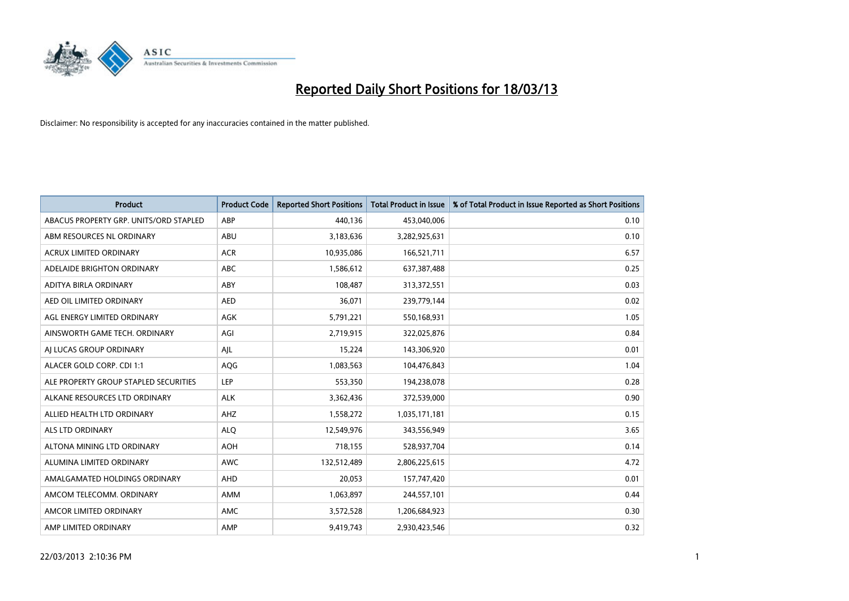

| <b>Product</b>                         | <b>Product Code</b> | <b>Reported Short Positions</b> | <b>Total Product in Issue</b> | % of Total Product in Issue Reported as Short Positions |
|----------------------------------------|---------------------|---------------------------------|-------------------------------|---------------------------------------------------------|
| ABACUS PROPERTY GRP. UNITS/ORD STAPLED | ABP                 | 440,136                         | 453,040,006                   | 0.10                                                    |
| ABM RESOURCES NL ORDINARY              | ABU                 | 3,183,636                       | 3,282,925,631                 | 0.10                                                    |
| <b>ACRUX LIMITED ORDINARY</b>          | <b>ACR</b>          | 10,935,086                      | 166,521,711                   | 6.57                                                    |
| ADELAIDE BRIGHTON ORDINARY             | <b>ABC</b>          | 1,586,612                       | 637,387,488                   | 0.25                                                    |
| <b>ADITYA BIRLA ORDINARY</b>           | ABY                 | 108,487                         | 313,372,551                   | 0.03                                                    |
| AED OIL LIMITED ORDINARY               | <b>AED</b>          | 36,071                          | 239,779,144                   | 0.02                                                    |
| AGL ENERGY LIMITED ORDINARY            | AGK                 | 5,791,221                       | 550,168,931                   | 1.05                                                    |
| AINSWORTH GAME TECH. ORDINARY          | AGI                 | 2,719,915                       | 322,025,876                   | 0.84                                                    |
| AI LUCAS GROUP ORDINARY                | AJL                 | 15,224                          | 143,306,920                   | 0.01                                                    |
| ALACER GOLD CORP. CDI 1:1              | AQG                 | 1,083,563                       | 104,476,843                   | 1.04                                                    |
| ALE PROPERTY GROUP STAPLED SECURITIES  | <b>LEP</b>          | 553,350                         | 194,238,078                   | 0.28                                                    |
| ALKANE RESOURCES LTD ORDINARY          | <b>ALK</b>          | 3,362,436                       | 372,539,000                   | 0.90                                                    |
| ALLIED HEALTH LTD ORDINARY             | AHZ                 | 1,558,272                       | 1,035,171,181                 | 0.15                                                    |
| <b>ALS LTD ORDINARY</b>                | <b>ALO</b>          | 12,549,976                      | 343,556,949                   | 3.65                                                    |
| ALTONA MINING LTD ORDINARY             | <b>AOH</b>          | 718,155                         | 528,937,704                   | 0.14                                                    |
| ALUMINA LIMITED ORDINARY               | <b>AWC</b>          | 132,512,489                     | 2,806,225,615                 | 4.72                                                    |
| AMALGAMATED HOLDINGS ORDINARY          | <b>AHD</b>          | 20,053                          | 157,747,420                   | 0.01                                                    |
| AMCOM TELECOMM. ORDINARY               | <b>AMM</b>          | 1,063,897                       | 244,557,101                   | 0.44                                                    |
| AMCOR LIMITED ORDINARY                 | AMC                 | 3,572,528                       | 1,206,684,923                 | 0.30                                                    |
| AMP LIMITED ORDINARY                   | AMP                 | 9.419.743                       | 2.930.423.546                 | 0.32                                                    |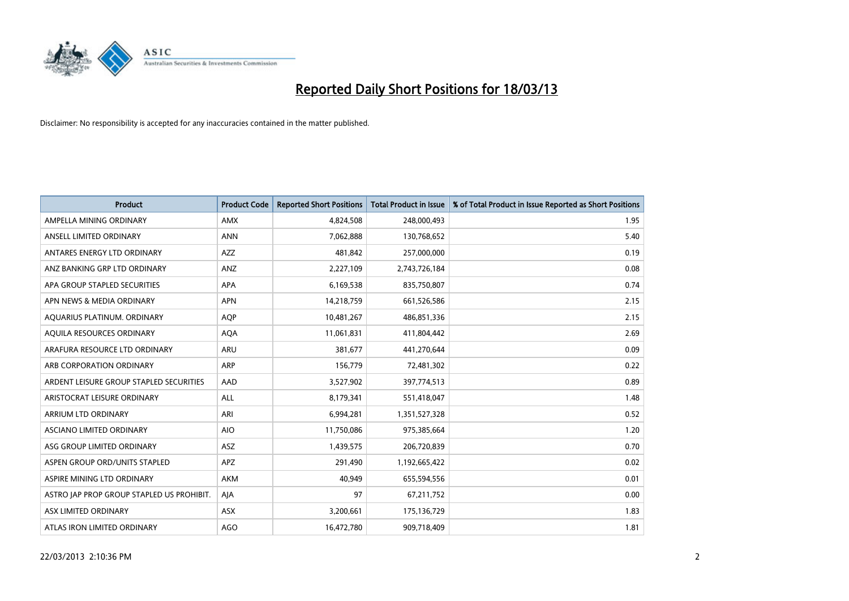

| <b>Product</b>                            | <b>Product Code</b> | <b>Reported Short Positions</b> | <b>Total Product in Issue</b> | % of Total Product in Issue Reported as Short Positions |
|-------------------------------------------|---------------------|---------------------------------|-------------------------------|---------------------------------------------------------|
| AMPELLA MINING ORDINARY                   | <b>AMX</b>          | 4,824,508                       | 248,000,493                   | 1.95                                                    |
| ANSELL LIMITED ORDINARY                   | <b>ANN</b>          | 7,062,888                       | 130,768,652                   | 5.40                                                    |
| ANTARES ENERGY LTD ORDINARY               | <b>AZZ</b>          | 481,842                         | 257,000,000                   | 0.19                                                    |
| ANZ BANKING GRP LTD ORDINARY              | ANZ                 | 2,227,109                       | 2,743,726,184                 | 0.08                                                    |
| APA GROUP STAPLED SECURITIES              | <b>APA</b>          | 6,169,538                       | 835,750,807                   | 0.74                                                    |
| APN NEWS & MEDIA ORDINARY                 | <b>APN</b>          | 14,218,759                      | 661,526,586                   | 2.15                                                    |
| AQUARIUS PLATINUM. ORDINARY               | <b>AOP</b>          | 10,481,267                      | 486,851,336                   | 2.15                                                    |
| AQUILA RESOURCES ORDINARY                 | <b>AQA</b>          | 11,061,831                      | 411,804,442                   | 2.69                                                    |
| ARAFURA RESOURCE LTD ORDINARY             | <b>ARU</b>          | 381.677                         | 441,270,644                   | 0.09                                                    |
| ARB CORPORATION ORDINARY                  | ARP                 | 156,779                         | 72,481,302                    | 0.22                                                    |
| ARDENT LEISURE GROUP STAPLED SECURITIES   | AAD                 | 3,527,902                       | 397,774,513                   | 0.89                                                    |
| ARISTOCRAT LEISURE ORDINARY               | <b>ALL</b>          | 8,179,341                       | 551,418,047                   | 1.48                                                    |
| ARRIUM LTD ORDINARY                       | ARI                 | 6,994,281                       | 1,351,527,328                 | 0.52                                                    |
| <b>ASCIANO LIMITED ORDINARY</b>           | <b>AIO</b>          | 11,750,086                      | 975,385,664                   | 1.20                                                    |
| ASG GROUP LIMITED ORDINARY                | <b>ASZ</b>          | 1,439,575                       | 206,720,839                   | 0.70                                                    |
| ASPEN GROUP ORD/UNITS STAPLED             | <b>APZ</b>          | 291,490                         | 1,192,665,422                 | 0.02                                                    |
| ASPIRE MINING LTD ORDINARY                | <b>AKM</b>          | 40,949                          | 655,594,556                   | 0.01                                                    |
| ASTRO JAP PROP GROUP STAPLED US PROHIBIT. | AIA                 | 97                              | 67,211,752                    | 0.00                                                    |
| <b>ASX LIMITED ORDINARY</b>               | ASX                 | 3,200,661                       | 175,136,729                   | 1.83                                                    |
| ATLAS IRON LIMITED ORDINARY               | <b>AGO</b>          | 16,472,780                      | 909,718,409                   | 1.81                                                    |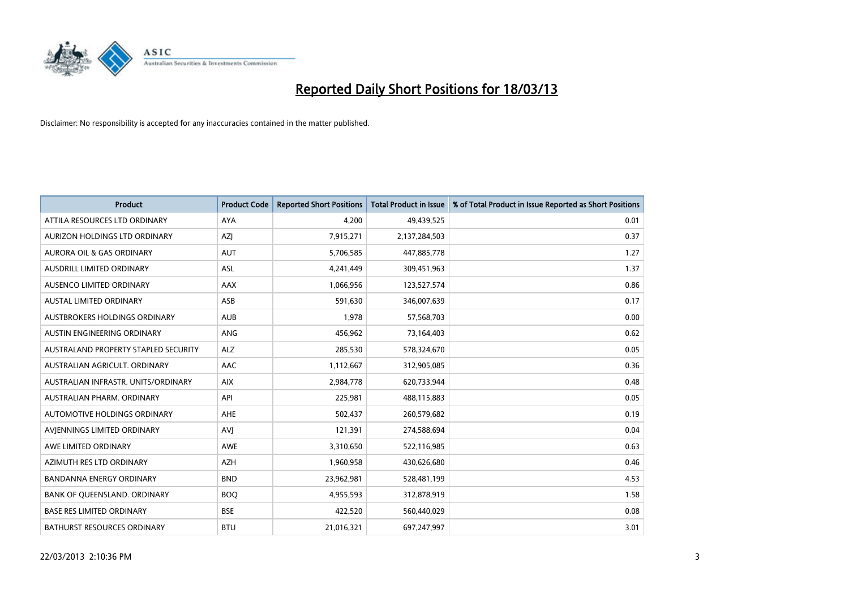

| <b>Product</b>                       | <b>Product Code</b> | <b>Reported Short Positions</b> | <b>Total Product in Issue</b> | % of Total Product in Issue Reported as Short Positions |
|--------------------------------------|---------------------|---------------------------------|-------------------------------|---------------------------------------------------------|
| ATTILA RESOURCES LTD ORDINARY        | <b>AYA</b>          | 4.200                           | 49,439,525                    | 0.01                                                    |
| AURIZON HOLDINGS LTD ORDINARY        | AZI                 | 7,915,271                       | 2,137,284,503                 | 0.37                                                    |
| <b>AURORA OIL &amp; GAS ORDINARY</b> | <b>AUT</b>          | 5,706,585                       | 447,885,778                   | 1.27                                                    |
| AUSDRILL LIMITED ORDINARY            | ASL                 | 4,241,449                       | 309,451,963                   | 1.37                                                    |
| AUSENCO LIMITED ORDINARY             | AAX                 | 1,066,956                       | 123,527,574                   | 0.86                                                    |
| <b>AUSTAL LIMITED ORDINARY</b>       | ASB                 | 591,630                         | 346,007,639                   | 0.17                                                    |
| AUSTBROKERS HOLDINGS ORDINARY        | <b>AUB</b>          | 1,978                           | 57,568,703                    | 0.00                                                    |
| AUSTIN ENGINEERING ORDINARY          | ANG                 | 456,962                         | 73,164,403                    | 0.62                                                    |
| AUSTRALAND PROPERTY STAPLED SECURITY | <b>ALZ</b>          | 285,530                         | 578,324,670                   | 0.05                                                    |
| AUSTRALIAN AGRICULT, ORDINARY        | AAC                 | 1,112,667                       | 312,905,085                   | 0.36                                                    |
| AUSTRALIAN INFRASTR. UNITS/ORDINARY  | <b>AIX</b>          | 2,984,778                       | 620,733,944                   | 0.48                                                    |
| AUSTRALIAN PHARM, ORDINARY           | API                 | 225,981                         | 488,115,883                   | 0.05                                                    |
| AUTOMOTIVE HOLDINGS ORDINARY         | <b>AHE</b>          | 502,437                         | 260,579,682                   | 0.19                                                    |
| AVIENNINGS LIMITED ORDINARY          | <b>AVI</b>          | 121,391                         | 274,588,694                   | 0.04                                                    |
| AWE LIMITED ORDINARY                 | AWE                 | 3,310,650                       | 522,116,985                   | 0.63                                                    |
| AZIMUTH RES LTD ORDINARY             | <b>AZH</b>          | 1,960,958                       | 430,626,680                   | 0.46                                                    |
| BANDANNA ENERGY ORDINARY             | <b>BND</b>          | 23,962,981                      | 528,481,199                   | 4.53                                                    |
| BANK OF QUEENSLAND. ORDINARY         | <b>BOO</b>          | 4,955,593                       | 312,878,919                   | 1.58                                                    |
| <b>BASE RES LIMITED ORDINARY</b>     | <b>BSE</b>          | 422,520                         | 560,440,029                   | 0.08                                                    |
| <b>BATHURST RESOURCES ORDINARY</b>   | <b>BTU</b>          | 21,016,321                      | 697,247,997                   | 3.01                                                    |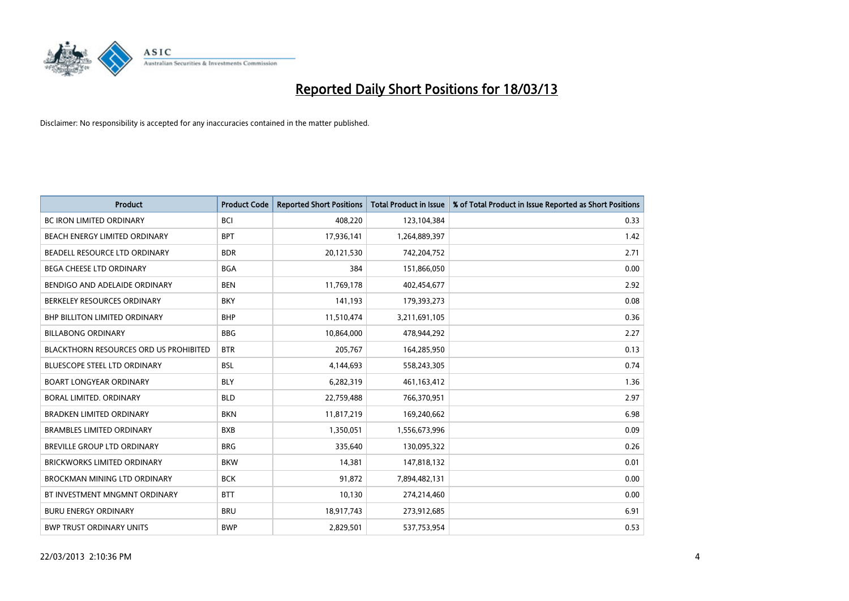

| <b>Product</b>                         | <b>Product Code</b> | <b>Reported Short Positions</b> | <b>Total Product in Issue</b> | % of Total Product in Issue Reported as Short Positions |
|----------------------------------------|---------------------|---------------------------------|-------------------------------|---------------------------------------------------------|
| <b>BC IRON LIMITED ORDINARY</b>        | <b>BCI</b>          | 408,220                         | 123,104,384                   | 0.33                                                    |
| BEACH ENERGY LIMITED ORDINARY          | <b>BPT</b>          | 17,936,141                      | 1,264,889,397                 | 1.42                                                    |
| BEADELL RESOURCE LTD ORDINARY          | <b>BDR</b>          | 20,121,530                      | 742,204,752                   | 2.71                                                    |
| BEGA CHEESE LTD ORDINARY               | <b>BGA</b>          | 384                             | 151,866,050                   | 0.00                                                    |
| BENDIGO AND ADELAIDE ORDINARY          | <b>BEN</b>          | 11,769,178                      | 402,454,677                   | 2.92                                                    |
| BERKELEY RESOURCES ORDINARY            | <b>BKY</b>          | 141,193                         | 179,393,273                   | 0.08                                                    |
| <b>BHP BILLITON LIMITED ORDINARY</b>   | <b>BHP</b>          | 11,510,474                      | 3,211,691,105                 | 0.36                                                    |
| <b>BILLABONG ORDINARY</b>              | <b>BBG</b>          | 10,864,000                      | 478,944,292                   | 2.27                                                    |
| BLACKTHORN RESOURCES ORD US PROHIBITED | <b>BTR</b>          | 205,767                         | 164,285,950                   | 0.13                                                    |
| <b>BLUESCOPE STEEL LTD ORDINARY</b>    | <b>BSL</b>          | 4,144,693                       | 558,243,305                   | 0.74                                                    |
| <b>BOART LONGYEAR ORDINARY</b>         | <b>BLY</b>          | 6,282,319                       | 461,163,412                   | 1.36                                                    |
| BORAL LIMITED, ORDINARY                | <b>BLD</b>          | 22,759,488                      | 766,370,951                   | 2.97                                                    |
| <b>BRADKEN LIMITED ORDINARY</b>        | <b>BKN</b>          | 11,817,219                      | 169,240,662                   | 6.98                                                    |
| <b>BRAMBLES LIMITED ORDINARY</b>       | <b>BXB</b>          | 1,350,051                       | 1,556,673,996                 | 0.09                                                    |
| BREVILLE GROUP LTD ORDINARY            | <b>BRG</b>          | 335,640                         | 130,095,322                   | 0.26                                                    |
| <b>BRICKWORKS LIMITED ORDINARY</b>     | <b>BKW</b>          | 14,381                          | 147,818,132                   | 0.01                                                    |
| <b>BROCKMAN MINING LTD ORDINARY</b>    | <b>BCK</b>          | 91,872                          | 7,894,482,131                 | 0.00                                                    |
| BT INVESTMENT MNGMNT ORDINARY          | <b>BTT</b>          | 10,130                          | 274,214,460                   | 0.00                                                    |
| <b>BURU ENERGY ORDINARY</b>            | <b>BRU</b>          | 18,917,743                      | 273,912,685                   | 6.91                                                    |
| <b>BWP TRUST ORDINARY UNITS</b>        | <b>BWP</b>          | 2.829.501                       | 537,753,954                   | 0.53                                                    |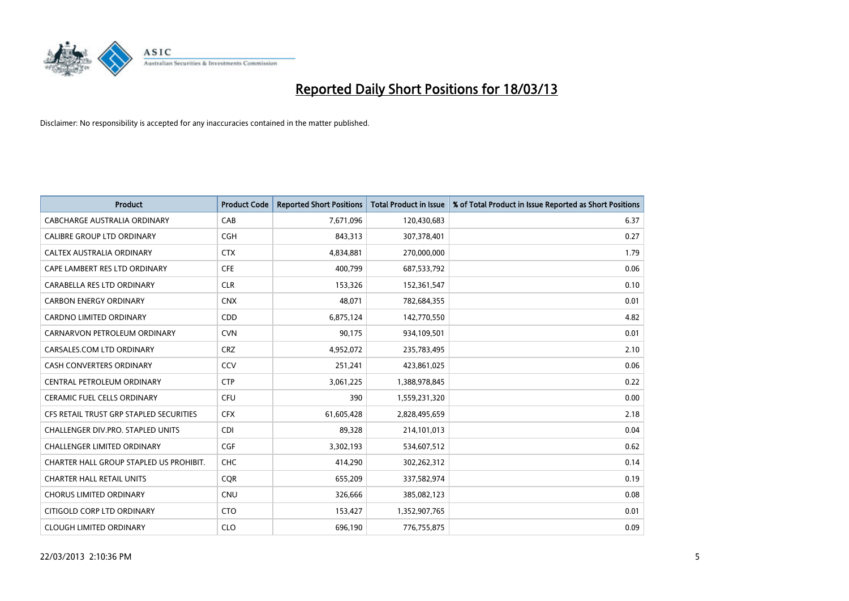

| <b>Product</b>                          | <b>Product Code</b> | <b>Reported Short Positions</b> | <b>Total Product in Issue</b> | % of Total Product in Issue Reported as Short Positions |
|-----------------------------------------|---------------------|---------------------------------|-------------------------------|---------------------------------------------------------|
| CABCHARGE AUSTRALIA ORDINARY            | CAB                 | 7,671,096                       | 120,430,683                   | 6.37                                                    |
| CALIBRE GROUP LTD ORDINARY              | <b>CGH</b>          | 843,313                         | 307,378,401                   | 0.27                                                    |
| CALTEX AUSTRALIA ORDINARY               | <b>CTX</b>          | 4,834,881                       | 270,000,000                   | 1.79                                                    |
| CAPE LAMBERT RES LTD ORDINARY           | <b>CFE</b>          | 400,799                         | 687,533,792                   | 0.06                                                    |
| CARABELLA RES LTD ORDINARY              | <b>CLR</b>          | 153,326                         | 152,361,547                   | 0.10                                                    |
| <b>CARBON ENERGY ORDINARY</b>           | <b>CNX</b>          | 48,071                          | 782,684,355                   | 0.01                                                    |
| <b>CARDNO LIMITED ORDINARY</b>          | CDD                 | 6,875,124                       | 142,770,550                   | 4.82                                                    |
| CARNARVON PETROLEUM ORDINARY            | <b>CVN</b>          | 90,175                          | 934,109,501                   | 0.01                                                    |
| CARSALES.COM LTD ORDINARY               | <b>CRZ</b>          | 4,952,072                       | 235,783,495                   | 2.10                                                    |
| <b>CASH CONVERTERS ORDINARY</b>         | CCV                 | 251,241                         | 423,861,025                   | 0.06                                                    |
| CENTRAL PETROLEUM ORDINARY              | <b>CTP</b>          | 3,061,225                       | 1,388,978,845                 | 0.22                                                    |
| <b>CERAMIC FUEL CELLS ORDINARY</b>      | <b>CFU</b>          | 390                             | 1,559,231,320                 | 0.00                                                    |
| CFS RETAIL TRUST GRP STAPLED SECURITIES | <b>CFX</b>          | 61,605,428                      | 2,828,495,659                 | 2.18                                                    |
| CHALLENGER DIV.PRO. STAPLED UNITS       | <b>CDI</b>          | 89,328                          | 214,101,013                   | 0.04                                                    |
| <b>CHALLENGER LIMITED ORDINARY</b>      | <b>CGF</b>          | 3,302,193                       | 534,607,512                   | 0.62                                                    |
| CHARTER HALL GROUP STAPLED US PROHIBIT. | <b>CHC</b>          | 414,290                         | 302,262,312                   | 0.14                                                    |
| <b>CHARTER HALL RETAIL UNITS</b>        | <b>COR</b>          | 655,209                         | 337,582,974                   | 0.19                                                    |
| <b>CHORUS LIMITED ORDINARY</b>          | <b>CNU</b>          | 326,666                         | 385,082,123                   | 0.08                                                    |
| CITIGOLD CORP LTD ORDINARY              | <b>CTO</b>          | 153,427                         | 1,352,907,765                 | 0.01                                                    |
| <b>CLOUGH LIMITED ORDINARY</b>          | <b>CLO</b>          | 696,190                         | 776,755,875                   | 0.09                                                    |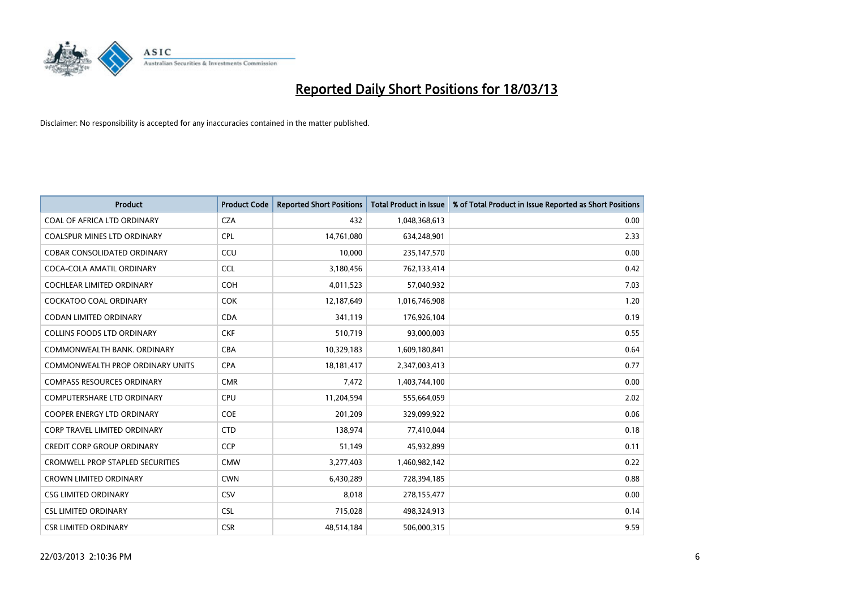

| <b>Product</b>                          | <b>Product Code</b> | <b>Reported Short Positions</b> | Total Product in Issue | % of Total Product in Issue Reported as Short Positions |
|-----------------------------------------|---------------------|---------------------------------|------------------------|---------------------------------------------------------|
| COAL OF AFRICA LTD ORDINARY             | <b>CZA</b>          | 432                             | 1,048,368,613          | 0.00                                                    |
| COALSPUR MINES LTD ORDINARY             | <b>CPL</b>          | 14,761,080                      | 634,248,901            | 2.33                                                    |
| <b>COBAR CONSOLIDATED ORDINARY</b>      | CCU                 | 10,000                          | 235,147,570            | 0.00                                                    |
| COCA-COLA AMATIL ORDINARY               | <b>CCL</b>          | 3,180,456                       | 762,133,414            | 0.42                                                    |
| <b>COCHLEAR LIMITED ORDINARY</b>        | <b>COH</b>          | 4,011,523                       | 57,040,932             | 7.03                                                    |
| <b>COCKATOO COAL ORDINARY</b>           | <b>COK</b>          | 12,187,649                      | 1,016,746,908          | 1.20                                                    |
| <b>CODAN LIMITED ORDINARY</b>           | <b>CDA</b>          | 341.119                         | 176,926,104            | 0.19                                                    |
| <b>COLLINS FOODS LTD ORDINARY</b>       | <b>CKF</b>          | 510,719                         | 93,000,003             | 0.55                                                    |
| COMMONWEALTH BANK, ORDINARY             | <b>CBA</b>          | 10,329,183                      | 1,609,180,841          | 0.64                                                    |
| <b>COMMONWEALTH PROP ORDINARY UNITS</b> | <b>CPA</b>          | 18,181,417                      | 2,347,003,413          | 0.77                                                    |
| <b>COMPASS RESOURCES ORDINARY</b>       | <b>CMR</b>          | 7,472                           | 1,403,744,100          | 0.00                                                    |
| <b>COMPUTERSHARE LTD ORDINARY</b>       | <b>CPU</b>          | 11,204,594                      | 555,664,059            | 2.02                                                    |
| <b>COOPER ENERGY LTD ORDINARY</b>       | <b>COE</b>          | 201,209                         | 329,099,922            | 0.06                                                    |
| <b>CORP TRAVEL LIMITED ORDINARY</b>     | <b>CTD</b>          | 138,974                         | 77,410,044             | 0.18                                                    |
| <b>CREDIT CORP GROUP ORDINARY</b>       | <b>CCP</b>          | 51,149                          | 45,932,899             | 0.11                                                    |
| <b>CROMWELL PROP STAPLED SECURITIES</b> | <b>CMW</b>          | 3,277,403                       | 1,460,982,142          | 0.22                                                    |
| <b>CROWN LIMITED ORDINARY</b>           | <b>CWN</b>          | 6,430,289                       | 728,394,185            | 0.88                                                    |
| <b>CSG LIMITED ORDINARY</b>             | CSV                 | 8,018                           | 278,155,477            | 0.00                                                    |
| <b>CSL LIMITED ORDINARY</b>             | <b>CSL</b>          | 715,028                         | 498,324,913            | 0.14                                                    |
| <b>CSR LIMITED ORDINARY</b>             | <b>CSR</b>          | 48,514,184                      | 506,000,315            | 9.59                                                    |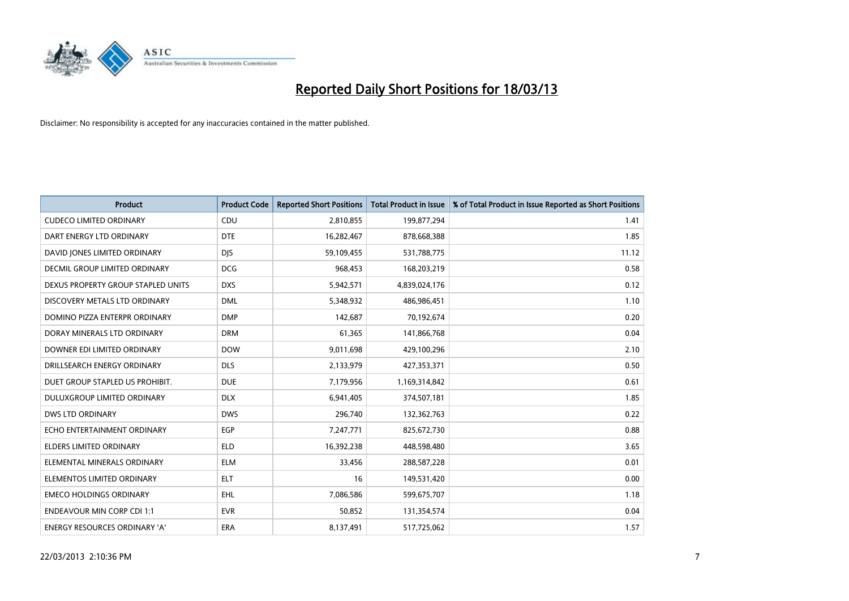

| <b>Product</b>                       | <b>Product Code</b> | <b>Reported Short Positions</b> | <b>Total Product in Issue</b> | % of Total Product in Issue Reported as Short Positions |
|--------------------------------------|---------------------|---------------------------------|-------------------------------|---------------------------------------------------------|
| <b>CUDECO LIMITED ORDINARY</b>       | CDU                 | 2,810,855                       | 199,877,294                   | 1.41                                                    |
| DART ENERGY LTD ORDINARY             | <b>DTE</b>          | 16,282,467                      | 878,668,388                   | 1.85                                                    |
| DAVID JONES LIMITED ORDINARY         | <b>DJS</b>          | 59,109,455                      | 531,788,775                   | 11.12                                                   |
| DECMIL GROUP LIMITED ORDINARY        | <b>DCG</b>          | 968,453                         | 168,203,219                   | 0.58                                                    |
| DEXUS PROPERTY GROUP STAPLED UNITS   | <b>DXS</b>          | 5,942,571                       | 4,839,024,176                 | 0.12                                                    |
| DISCOVERY METALS LTD ORDINARY        | <b>DML</b>          | 5,348,932                       | 486,986,451                   | 1.10                                                    |
| DOMINO PIZZA ENTERPR ORDINARY        | <b>DMP</b>          | 142.687                         | 70,192,674                    | 0.20                                                    |
| DORAY MINERALS LTD ORDINARY          | <b>DRM</b>          | 61,365                          | 141,866,768                   | 0.04                                                    |
| DOWNER EDI LIMITED ORDINARY          | <b>DOW</b>          | 9,011,698                       | 429,100,296                   | 2.10                                                    |
| DRILLSEARCH ENERGY ORDINARY          | <b>DLS</b>          | 2,133,979                       | 427,353,371                   | 0.50                                                    |
| DUET GROUP STAPLED US PROHIBIT.      | <b>DUE</b>          | 7,179,956                       | 1,169,314,842                 | 0.61                                                    |
| <b>DULUXGROUP LIMITED ORDINARY</b>   | <b>DLX</b>          | 6,941,405                       | 374,507,181                   | 1.85                                                    |
| <b>DWS LTD ORDINARY</b>              | <b>DWS</b>          | 296,740                         | 132,362,763                   | 0.22                                                    |
| ECHO ENTERTAINMENT ORDINARY          | <b>EGP</b>          | 7,247,771                       | 825,672,730                   | 0.88                                                    |
| <b>ELDERS LIMITED ORDINARY</b>       | <b>ELD</b>          | 16,392,238                      | 448,598,480                   | 3.65                                                    |
| ELEMENTAL MINERALS ORDINARY          | <b>ELM</b>          | 33,456                          | 288,587,228                   | 0.01                                                    |
| ELEMENTOS LIMITED ORDINARY           | <b>ELT</b>          | 16                              | 149,531,420                   | 0.00                                                    |
| <b>EMECO HOLDINGS ORDINARY</b>       | <b>EHL</b>          | 7,086,586                       | 599,675,707                   | 1.18                                                    |
| <b>ENDEAVOUR MIN CORP CDI 1:1</b>    | <b>EVR</b>          | 50,852                          | 131,354,574                   | 0.04                                                    |
| <b>ENERGY RESOURCES ORDINARY 'A'</b> | <b>ERA</b>          | 8,137,491                       | 517,725,062                   | 1.57                                                    |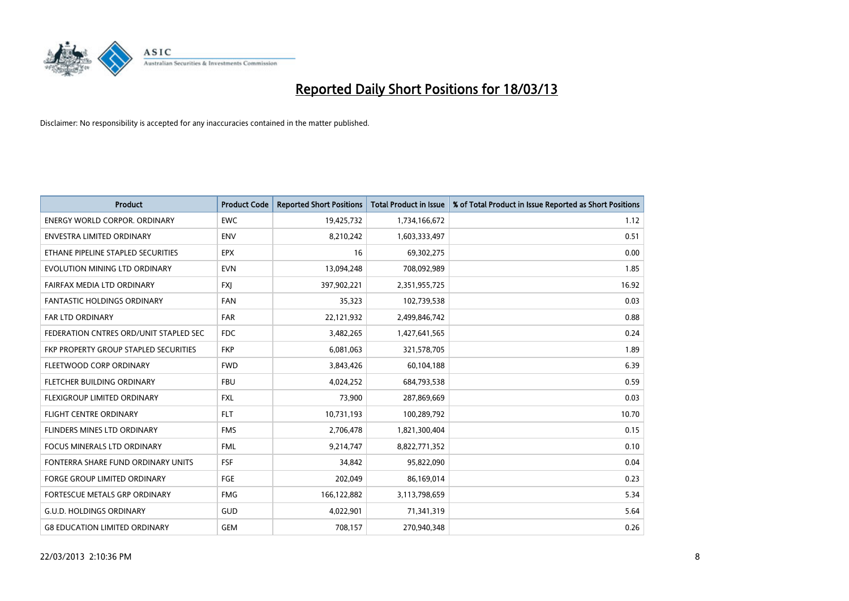

| <b>Product</b>                         | <b>Product Code</b> | <b>Reported Short Positions</b> | <b>Total Product in Issue</b> | % of Total Product in Issue Reported as Short Positions |
|----------------------------------------|---------------------|---------------------------------|-------------------------------|---------------------------------------------------------|
| <b>ENERGY WORLD CORPOR, ORDINARY</b>   | <b>EWC</b>          | 19,425,732                      | 1,734,166,672                 | 1.12                                                    |
| ENVESTRA LIMITED ORDINARY              | <b>ENV</b>          | 8,210,242                       | 1,603,333,497                 | 0.51                                                    |
| ETHANE PIPELINE STAPLED SECURITIES     | <b>EPX</b>          | 16                              | 69,302,275                    | 0.00                                                    |
| EVOLUTION MINING LTD ORDINARY          | <b>EVN</b>          | 13,094,248                      | 708,092,989                   | 1.85                                                    |
| FAIRFAX MEDIA LTD ORDINARY             | <b>FXI</b>          | 397,902,221                     | 2,351,955,725                 | 16.92                                                   |
| <b>FANTASTIC HOLDINGS ORDINARY</b>     | <b>FAN</b>          | 35,323                          | 102,739,538                   | 0.03                                                    |
| <b>FAR LTD ORDINARY</b>                | <b>FAR</b>          | 22,121,932                      | 2,499,846,742                 | 0.88                                                    |
| FEDERATION CNTRES ORD/UNIT STAPLED SEC | <b>FDC</b>          | 3,482,265                       | 1,427,641,565                 | 0.24                                                    |
| FKP PROPERTY GROUP STAPLED SECURITIES  | <b>FKP</b>          | 6,081,063                       | 321,578,705                   | 1.89                                                    |
| FLEETWOOD CORP ORDINARY                | <b>FWD</b>          | 3,843,426                       | 60,104,188                    | 6.39                                                    |
| FLETCHER BUILDING ORDINARY             | <b>FBU</b>          | 4,024,252                       | 684,793,538                   | 0.59                                                    |
| <b>FLEXIGROUP LIMITED ORDINARY</b>     | <b>FXL</b>          | 73,900                          | 287,869,669                   | 0.03                                                    |
| FLIGHT CENTRE ORDINARY                 | <b>FLT</b>          | 10,731,193                      | 100,289,792                   | 10.70                                                   |
| FLINDERS MINES LTD ORDINARY            | <b>FMS</b>          | 2,706,478                       | 1,821,300,404                 | 0.15                                                    |
| <b>FOCUS MINERALS LTD ORDINARY</b>     | <b>FML</b>          | 9,214,747                       | 8,822,771,352                 | 0.10                                                    |
| FONTERRA SHARE FUND ORDINARY UNITS     | FSF                 | 34,842                          | 95,822,090                    | 0.04                                                    |
| FORGE GROUP LIMITED ORDINARY           | FGE                 | 202,049                         | 86,169,014                    | 0.23                                                    |
| FORTESCUE METALS GRP ORDINARY          | <b>FMG</b>          | 166,122,882                     | 3,113,798,659                 | 5.34                                                    |
| <b>G.U.D. HOLDINGS ORDINARY</b>        | GUD                 | 4,022,901                       | 71,341,319                    | 5.64                                                    |
| <b>G8 EDUCATION LIMITED ORDINARY</b>   | <b>GEM</b>          | 708,157                         | 270,940,348                   | 0.26                                                    |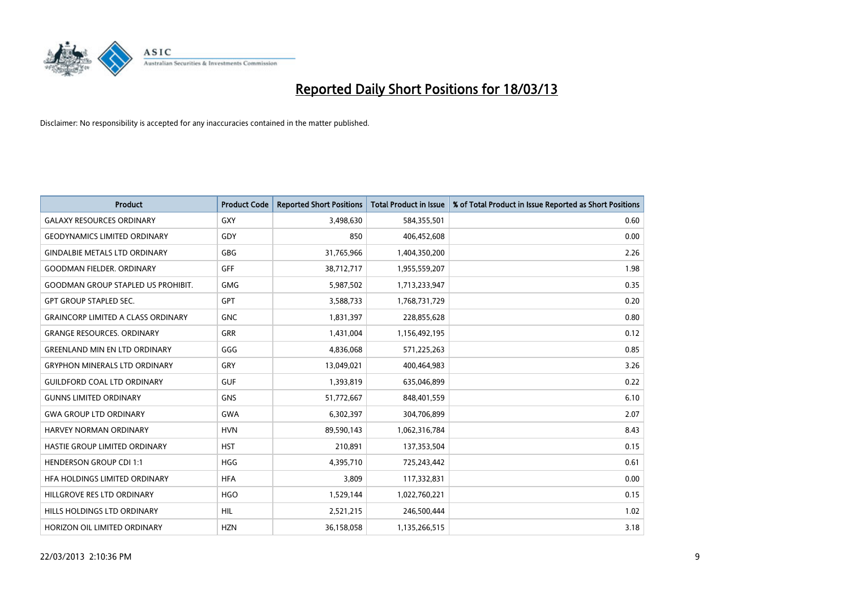

| <b>Product</b>                            | <b>Product Code</b> | <b>Reported Short Positions</b> | <b>Total Product in Issue</b> | % of Total Product in Issue Reported as Short Positions |
|-------------------------------------------|---------------------|---------------------------------|-------------------------------|---------------------------------------------------------|
| <b>GALAXY RESOURCES ORDINARY</b>          | <b>GXY</b>          | 3,498,630                       | 584,355,501                   | 0.60                                                    |
| <b>GEODYNAMICS LIMITED ORDINARY</b>       | GDY                 | 850                             | 406,452,608                   | 0.00                                                    |
| <b>GINDALBIE METALS LTD ORDINARY</b>      | <b>GBG</b>          | 31,765,966                      | 1,404,350,200                 | 2.26                                                    |
| <b>GOODMAN FIELDER. ORDINARY</b>          | GFF                 | 38,712,717                      | 1,955,559,207                 | 1.98                                                    |
| <b>GOODMAN GROUP STAPLED US PROHIBIT.</b> | <b>GMG</b>          | 5,987,502                       | 1,713,233,947                 | 0.35                                                    |
| <b>GPT GROUP STAPLED SEC.</b>             | GPT                 | 3,588,733                       | 1,768,731,729                 | 0.20                                                    |
| <b>GRAINCORP LIMITED A CLASS ORDINARY</b> | <b>GNC</b>          | 1,831,397                       | 228,855,628                   | 0.80                                                    |
| <b>GRANGE RESOURCES, ORDINARY</b>         | <b>GRR</b>          | 1,431,004                       | 1,156,492,195                 | 0.12                                                    |
| <b>GREENLAND MIN EN LTD ORDINARY</b>      | GGG                 | 4,836,068                       | 571,225,263                   | 0.85                                                    |
| <b>GRYPHON MINERALS LTD ORDINARY</b>      | GRY                 | 13,049,021                      | 400,464,983                   | 3.26                                                    |
| <b>GUILDFORD COAL LTD ORDINARY</b>        | <b>GUF</b>          | 1,393,819                       | 635,046,899                   | 0.22                                                    |
| <b>GUNNS LIMITED ORDINARY</b>             | <b>GNS</b>          | 51,772,667                      | 848,401,559                   | 6.10                                                    |
| <b>GWA GROUP LTD ORDINARY</b>             | <b>GWA</b>          | 6,302,397                       | 304,706,899                   | 2.07                                                    |
| <b>HARVEY NORMAN ORDINARY</b>             | <b>HVN</b>          | 89,590,143                      | 1,062,316,784                 | 8.43                                                    |
| HASTIE GROUP LIMITED ORDINARY             | <b>HST</b>          | 210,891                         | 137,353,504                   | 0.15                                                    |
| <b>HENDERSON GROUP CDI 1:1</b>            | <b>HGG</b>          | 4,395,710                       | 725,243,442                   | 0.61                                                    |
| HFA HOLDINGS LIMITED ORDINARY             | <b>HFA</b>          | 3,809                           | 117,332,831                   | 0.00                                                    |
| HILLGROVE RES LTD ORDINARY                | <b>HGO</b>          | 1,529,144                       | 1,022,760,221                 | 0.15                                                    |
| HILLS HOLDINGS LTD ORDINARY               | <b>HIL</b>          | 2,521,215                       | 246,500,444                   | 1.02                                                    |
| HORIZON OIL LIMITED ORDINARY              | <b>HZN</b>          | 36,158,058                      | 1,135,266,515                 | 3.18                                                    |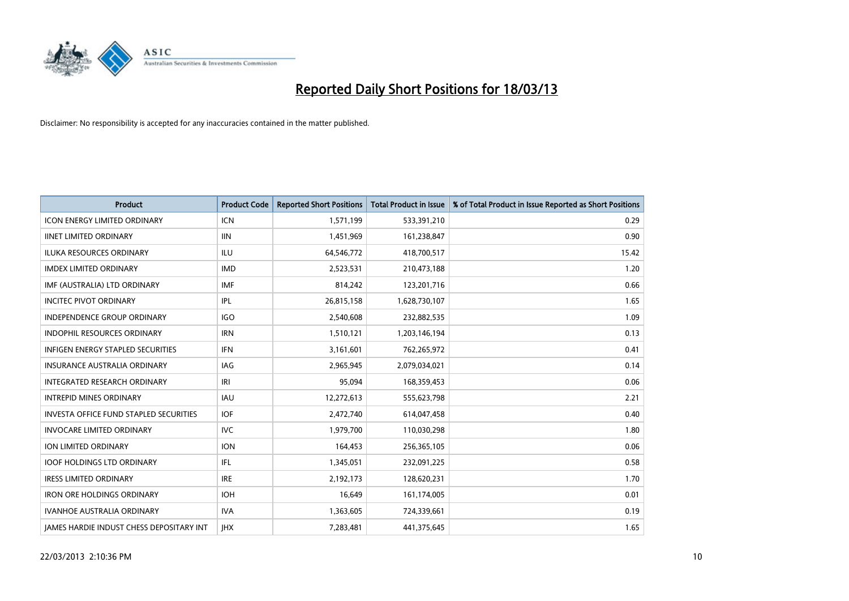

| <b>Product</b>                                | <b>Product Code</b> | <b>Reported Short Positions</b> | <b>Total Product in Issue</b> | % of Total Product in Issue Reported as Short Positions |
|-----------------------------------------------|---------------------|---------------------------------|-------------------------------|---------------------------------------------------------|
| <b>ICON ENERGY LIMITED ORDINARY</b>           | <b>ICN</b>          | 1,571,199                       | 533,391,210                   | 0.29                                                    |
| <b>IINET LIMITED ORDINARY</b>                 | <b>IIN</b>          | 1,451,969                       | 161,238,847                   | 0.90                                                    |
| <b>ILUKA RESOURCES ORDINARY</b>               | ILU                 | 64,546,772                      | 418,700,517                   | 15.42                                                   |
| <b>IMDEX LIMITED ORDINARY</b>                 | <b>IMD</b>          | 2,523,531                       | 210,473,188                   | 1.20                                                    |
| IMF (AUSTRALIA) LTD ORDINARY                  | <b>IMF</b>          | 814,242                         | 123,201,716                   | 0.66                                                    |
| <b>INCITEC PIVOT ORDINARY</b>                 | IPL                 | 26,815,158                      | 1,628,730,107                 | 1.65                                                    |
| <b>INDEPENDENCE GROUP ORDINARY</b>            | <b>IGO</b>          | 2,540,608                       | 232,882,535                   | 1.09                                                    |
| <b>INDOPHIL RESOURCES ORDINARY</b>            | <b>IRN</b>          | 1,510,121                       | 1,203,146,194                 | 0.13                                                    |
| INFIGEN ENERGY STAPLED SECURITIES             | <b>IFN</b>          | 3,161,601                       | 762,265,972                   | 0.41                                                    |
| <b>INSURANCE AUSTRALIA ORDINARY</b>           | IAG                 | 2,965,945                       | 2,079,034,021                 | 0.14                                                    |
| <b>INTEGRATED RESEARCH ORDINARY</b>           | IRI                 | 95,094                          | 168,359,453                   | 0.06                                                    |
| <b>INTREPID MINES ORDINARY</b>                | <b>IAU</b>          | 12,272,613                      | 555,623,798                   | 2.21                                                    |
| <b>INVESTA OFFICE FUND STAPLED SECURITIES</b> | <b>IOF</b>          | 2,472,740                       | 614,047,458                   | 0.40                                                    |
| <b>INVOCARE LIMITED ORDINARY</b>              | <b>IVC</b>          | 1,979,700                       | 110,030,298                   | 1.80                                                    |
| ION LIMITED ORDINARY                          | <b>ION</b>          | 164,453                         | 256,365,105                   | 0.06                                                    |
| <b>IOOF HOLDINGS LTD ORDINARY</b>             | IFL.                | 1,345,051                       | 232,091,225                   | 0.58                                                    |
| <b>IRESS LIMITED ORDINARY</b>                 | <b>IRE</b>          | 2,192,173                       | 128,620,231                   | 1.70                                                    |
| <b>IRON ORE HOLDINGS ORDINARY</b>             | <b>IOH</b>          | 16,649                          | 161,174,005                   | 0.01                                                    |
| <b>IVANHOE AUSTRALIA ORDINARY</b>             | <b>IVA</b>          | 1,363,605                       | 724,339,661                   | 0.19                                                    |
| JAMES HARDIE INDUST CHESS DEPOSITARY INT      | <b>IHX</b>          | 7,283,481                       | 441,375,645                   | 1.65                                                    |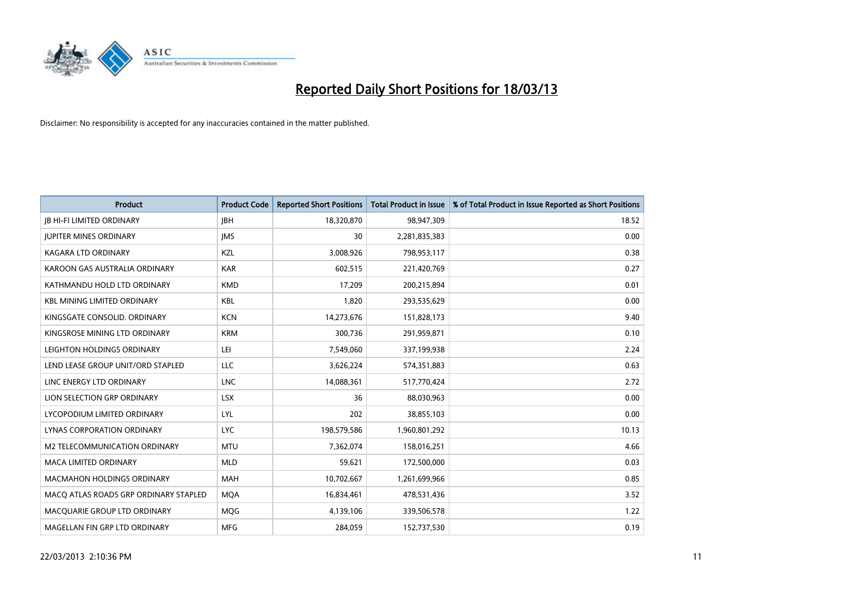

| <b>Product</b>                        | <b>Product Code</b> | <b>Reported Short Positions</b> | <b>Total Product in Issue</b> | % of Total Product in Issue Reported as Short Positions |
|---------------------------------------|---------------------|---------------------------------|-------------------------------|---------------------------------------------------------|
| <b>IB HI-FI LIMITED ORDINARY</b>      | <b>IBH</b>          | 18,320,870                      | 98,947,309                    | 18.52                                                   |
| <b>JUPITER MINES ORDINARY</b>         | <b>IMS</b>          | 30                              | 2,281,835,383                 | 0.00                                                    |
| KAGARA LTD ORDINARY                   | <b>KZL</b>          | 3,008,926                       | 798,953,117                   | 0.38                                                    |
| KAROON GAS AUSTRALIA ORDINARY         | <b>KAR</b>          | 602,515                         | 221,420,769                   | 0.27                                                    |
| KATHMANDU HOLD LTD ORDINARY           | <b>KMD</b>          | 17,209                          | 200,215,894                   | 0.01                                                    |
| <b>KBL MINING LIMITED ORDINARY</b>    | <b>KBL</b>          | 1,820                           | 293,535,629                   | 0.00                                                    |
| KINGSGATE CONSOLID, ORDINARY          | <b>KCN</b>          | 14,273,676                      | 151,828,173                   | 9.40                                                    |
| KINGSROSE MINING LTD ORDINARY         | <b>KRM</b>          | 300,736                         | 291,959,871                   | 0.10                                                    |
| LEIGHTON HOLDINGS ORDINARY            | LEI                 | 7,549,060                       | 337,199,938                   | 2.24                                                    |
| LEND LEASE GROUP UNIT/ORD STAPLED     | <b>LLC</b>          | 3,626,224                       | 574,351,883                   | 0.63                                                    |
| LINC ENERGY LTD ORDINARY              | <b>LNC</b>          | 14,088,361                      | 517,770,424                   | 2.72                                                    |
| LION SELECTION GRP ORDINARY           | <b>LSX</b>          | 36                              | 88,030,963                    | 0.00                                                    |
| LYCOPODIUM LIMITED ORDINARY           | LYL                 | 202                             | 38,855,103                    | 0.00                                                    |
| <b>LYNAS CORPORATION ORDINARY</b>     | <b>LYC</b>          | 198,579,586                     | 1,960,801,292                 | 10.13                                                   |
| M2 TELECOMMUNICATION ORDINARY         | <b>MTU</b>          | 7,362,074                       | 158,016,251                   | 4.66                                                    |
| MACA LIMITED ORDINARY                 | <b>MLD</b>          | 59,621                          | 172,500,000                   | 0.03                                                    |
| <b>MACMAHON HOLDINGS ORDINARY</b>     | <b>MAH</b>          | 10,702,667                      | 1,261,699,966                 | 0.85                                                    |
| MACQ ATLAS ROADS GRP ORDINARY STAPLED | <b>MQA</b>          | 16,834,461                      | 478,531,436                   | 3.52                                                    |
| MACOUARIE GROUP LTD ORDINARY          | <b>MOG</b>          | 4,139,106                       | 339,506,578                   | 1.22                                                    |
| MAGELLAN FIN GRP LTD ORDINARY         | <b>MFG</b>          | 284.059                         | 152,737,530                   | 0.19                                                    |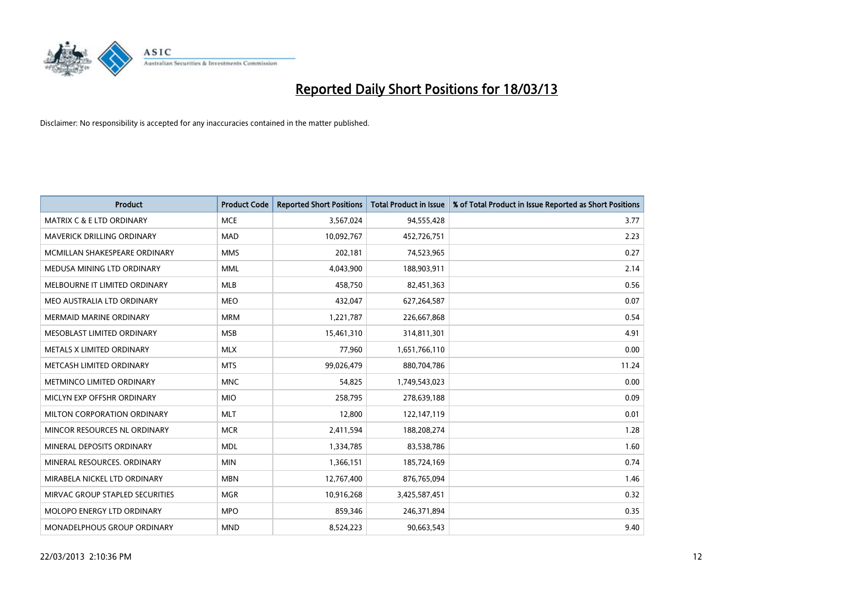

| <b>Product</b>                       | <b>Product Code</b> | <b>Reported Short Positions</b> | <b>Total Product in Issue</b> | % of Total Product in Issue Reported as Short Positions |
|--------------------------------------|---------------------|---------------------------------|-------------------------------|---------------------------------------------------------|
| <b>MATRIX C &amp; E LTD ORDINARY</b> | <b>MCE</b>          | 3,567,024                       | 94,555,428                    | 3.77                                                    |
| MAVERICK DRILLING ORDINARY           | <b>MAD</b>          | 10,092,767                      | 452,726,751                   | 2.23                                                    |
| MCMILLAN SHAKESPEARE ORDINARY        | <b>MMS</b>          | 202,181                         | 74,523,965                    | 0.27                                                    |
| MEDUSA MINING LTD ORDINARY           | <b>MML</b>          | 4,043,900                       | 188,903,911                   | 2.14                                                    |
| MELBOURNE IT LIMITED ORDINARY        | <b>MLB</b>          | 458,750                         | 82,451,363                    | 0.56                                                    |
| MEO AUSTRALIA LTD ORDINARY           | <b>MEO</b>          | 432,047                         | 627,264,587                   | 0.07                                                    |
| <b>MERMAID MARINE ORDINARY</b>       | <b>MRM</b>          | 1,221,787                       | 226,667,868                   | 0.54                                                    |
| MESOBLAST LIMITED ORDINARY           | <b>MSB</b>          | 15,461,310                      | 314,811,301                   | 4.91                                                    |
| METALS X LIMITED ORDINARY            | <b>MLX</b>          | 77,960                          | 1,651,766,110                 | 0.00                                                    |
| METCASH LIMITED ORDINARY             | <b>MTS</b>          | 99,026,479                      | 880,704,786                   | 11.24                                                   |
| METMINCO LIMITED ORDINARY            | <b>MNC</b>          | 54,825                          | 1,749,543,023                 | 0.00                                                    |
| MICLYN EXP OFFSHR ORDINARY           | <b>MIO</b>          | 258,795                         | 278,639,188                   | 0.09                                                    |
| MILTON CORPORATION ORDINARY          | <b>MLT</b>          | 12,800                          | 122,147,119                   | 0.01                                                    |
| MINCOR RESOURCES NL ORDINARY         | <b>MCR</b>          | 2,411,594                       | 188,208,274                   | 1.28                                                    |
| MINERAL DEPOSITS ORDINARY            | <b>MDL</b>          | 1,334,785                       | 83,538,786                    | 1.60                                                    |
| MINERAL RESOURCES. ORDINARY          | <b>MIN</b>          | 1,366,151                       | 185,724,169                   | 0.74                                                    |
| MIRABELA NICKEL LTD ORDINARY         | <b>MBN</b>          | 12,767,400                      | 876,765,094                   | 1.46                                                    |
| MIRVAC GROUP STAPLED SECURITIES      | <b>MGR</b>          | 10,916,268                      | 3,425,587,451                 | 0.32                                                    |
| <b>MOLOPO ENERGY LTD ORDINARY</b>    | <b>MPO</b>          | 859,346                         | 246,371,894                   | 0.35                                                    |
| <b>MONADELPHOUS GROUP ORDINARY</b>   | <b>MND</b>          | 8,524,223                       | 90,663,543                    | 9.40                                                    |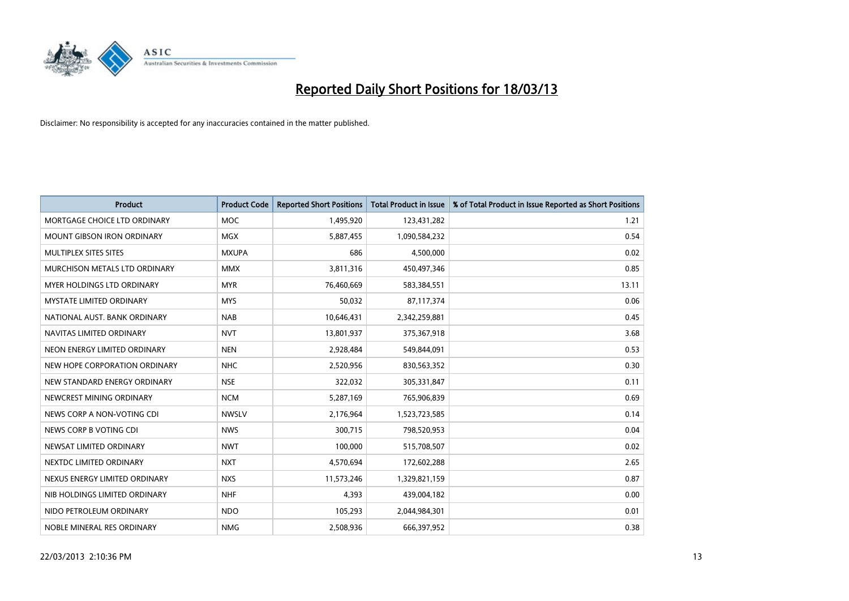

| <b>Product</b>                  | <b>Product Code</b> | <b>Reported Short Positions</b> | <b>Total Product in Issue</b> | % of Total Product in Issue Reported as Short Positions |
|---------------------------------|---------------------|---------------------------------|-------------------------------|---------------------------------------------------------|
| MORTGAGE CHOICE LTD ORDINARY    | <b>MOC</b>          | 1,495,920                       | 123,431,282                   | 1.21                                                    |
| MOUNT GIBSON IRON ORDINARY      | <b>MGX</b>          | 5,887,455                       | 1,090,584,232                 | 0.54                                                    |
| MULTIPLEX SITES SITES           | <b>MXUPA</b>        | 686                             | 4,500,000                     | 0.02                                                    |
| MURCHISON METALS LTD ORDINARY   | <b>MMX</b>          | 3,811,316                       | 450,497,346                   | 0.85                                                    |
| MYER HOLDINGS LTD ORDINARY      | <b>MYR</b>          | 76,460,669                      | 583,384,551                   | 13.11                                                   |
| <b>MYSTATE LIMITED ORDINARY</b> | <b>MYS</b>          | 50,032                          | 87,117,374                    | 0.06                                                    |
| NATIONAL AUST. BANK ORDINARY    | <b>NAB</b>          | 10,646,431                      | 2,342,259,881                 | 0.45                                                    |
| NAVITAS LIMITED ORDINARY        | <b>NVT</b>          | 13,801,937                      | 375,367,918                   | 3.68                                                    |
| NEON ENERGY LIMITED ORDINARY    | <b>NEN</b>          | 2,928,484                       | 549,844,091                   | 0.53                                                    |
| NEW HOPE CORPORATION ORDINARY   | <b>NHC</b>          | 2,520,956                       | 830,563,352                   | 0.30                                                    |
| NEW STANDARD ENERGY ORDINARY    | <b>NSE</b>          | 322,032                         | 305,331,847                   | 0.11                                                    |
| NEWCREST MINING ORDINARY        | <b>NCM</b>          | 5,287,169                       | 765,906,839                   | 0.69                                                    |
| NEWS CORP A NON-VOTING CDI      | <b>NWSLV</b>        | 2,176,964                       | 1,523,723,585                 | 0.14                                                    |
| NEWS CORP B VOTING CDI          | <b>NWS</b>          | 300,715                         | 798,520,953                   | 0.04                                                    |
| NEWSAT LIMITED ORDINARY         | <b>NWT</b>          | 100,000                         | 515,708,507                   | 0.02                                                    |
| NEXTDC LIMITED ORDINARY         | <b>NXT</b>          | 4,570,694                       | 172,602,288                   | 2.65                                                    |
| NEXUS ENERGY LIMITED ORDINARY   | <b>NXS</b>          | 11,573,246                      | 1,329,821,159                 | 0.87                                                    |
| NIB HOLDINGS LIMITED ORDINARY   | <b>NHF</b>          | 4,393                           | 439,004,182                   | 0.00                                                    |
| NIDO PETROLEUM ORDINARY         | <b>NDO</b>          | 105,293                         | 2,044,984,301                 | 0.01                                                    |
| NOBLE MINERAL RES ORDINARY      | <b>NMG</b>          | 2,508,936                       | 666,397,952                   | 0.38                                                    |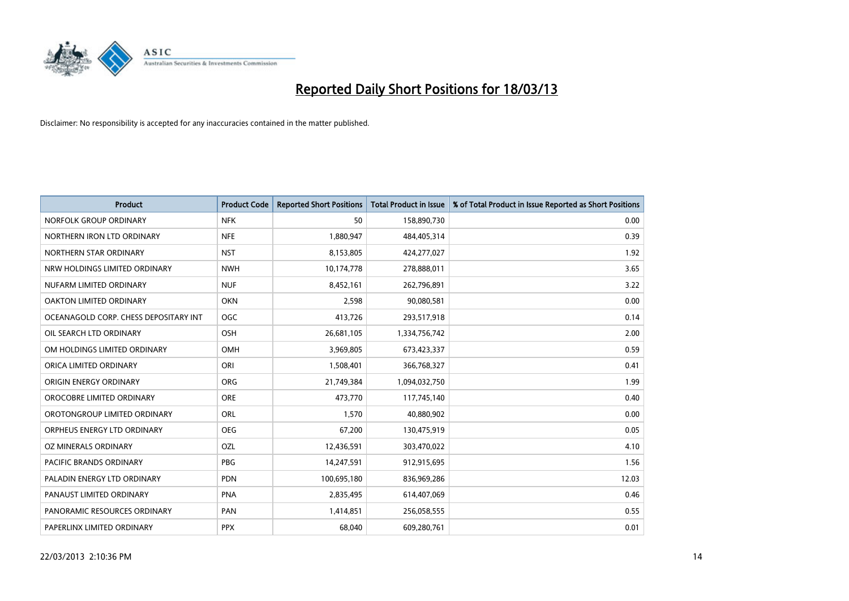

| <b>Product</b>                        | <b>Product Code</b> | <b>Reported Short Positions</b> | <b>Total Product in Issue</b> | % of Total Product in Issue Reported as Short Positions |
|---------------------------------------|---------------------|---------------------------------|-------------------------------|---------------------------------------------------------|
| NORFOLK GROUP ORDINARY                | <b>NFK</b>          | 50                              | 158,890,730                   | 0.00                                                    |
| NORTHERN IRON LTD ORDINARY            | <b>NFE</b>          | 1,880,947                       | 484,405,314                   | 0.39                                                    |
| NORTHERN STAR ORDINARY                | <b>NST</b>          | 8,153,805                       | 424,277,027                   | 1.92                                                    |
| NRW HOLDINGS LIMITED ORDINARY         | <b>NWH</b>          | 10,174,778                      | 278,888,011                   | 3.65                                                    |
| NUFARM LIMITED ORDINARY               | <b>NUF</b>          | 8,452,161                       | 262,796,891                   | 3.22                                                    |
| OAKTON LIMITED ORDINARY               | <b>OKN</b>          | 2,598                           | 90,080,581                    | 0.00                                                    |
| OCEANAGOLD CORP. CHESS DEPOSITARY INT | <b>OGC</b>          | 413,726                         | 293,517,918                   | 0.14                                                    |
| OIL SEARCH LTD ORDINARY               | OSH                 | 26,681,105                      | 1,334,756,742                 | 2.00                                                    |
| OM HOLDINGS LIMITED ORDINARY          | OMH                 | 3,969,805                       | 673,423,337                   | 0.59                                                    |
| ORICA LIMITED ORDINARY                | ORI                 | 1,508,401                       | 366,768,327                   | 0.41                                                    |
| ORIGIN ENERGY ORDINARY                | <b>ORG</b>          | 21,749,384                      | 1,094,032,750                 | 1.99                                                    |
| OROCOBRE LIMITED ORDINARY             | <b>ORE</b>          | 473,770                         | 117,745,140                   | 0.40                                                    |
| OROTONGROUP LIMITED ORDINARY          | <b>ORL</b>          | 1,570                           | 40,880,902                    | 0.00                                                    |
| ORPHEUS ENERGY LTD ORDINARY           | <b>OEG</b>          | 67,200                          | 130,475,919                   | 0.05                                                    |
| OZ MINERALS ORDINARY                  | OZL                 | 12,436,591                      | 303,470,022                   | 4.10                                                    |
| PACIFIC BRANDS ORDINARY               | <b>PBG</b>          | 14,247,591                      | 912,915,695                   | 1.56                                                    |
| PALADIN ENERGY LTD ORDINARY           | <b>PDN</b>          | 100,695,180                     | 836,969,286                   | 12.03                                                   |
| PANAUST LIMITED ORDINARY              | <b>PNA</b>          | 2,835,495                       | 614,407,069                   | 0.46                                                    |
| PANORAMIC RESOURCES ORDINARY          | PAN                 | 1,414,851                       | 256,058,555                   | 0.55                                                    |
| PAPERLINX LIMITED ORDINARY            | <b>PPX</b>          | 68,040                          | 609,280,761                   | 0.01                                                    |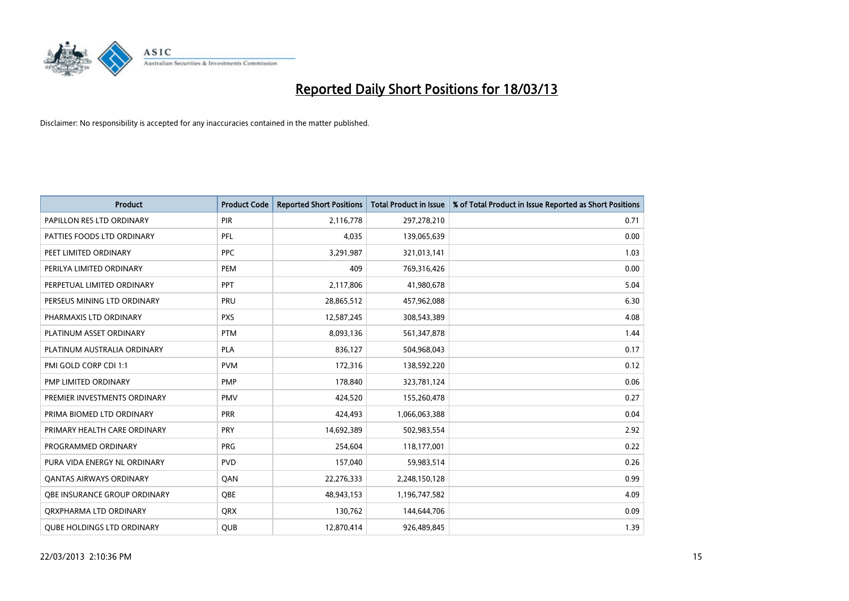

| <b>Product</b>                      | <b>Product Code</b> | <b>Reported Short Positions</b> | <b>Total Product in Issue</b> | % of Total Product in Issue Reported as Short Positions |
|-------------------------------------|---------------------|---------------------------------|-------------------------------|---------------------------------------------------------|
| PAPILLON RES LTD ORDINARY           | <b>PIR</b>          | 2,116,778                       | 297,278,210                   | 0.71                                                    |
| PATTIES FOODS LTD ORDINARY          | PFL                 | 4,035                           | 139,065,639                   | 0.00                                                    |
| PEET LIMITED ORDINARY               | <b>PPC</b>          | 3,291,987                       | 321,013,141                   | 1.03                                                    |
| PERILYA LIMITED ORDINARY            | PEM                 | 409                             | 769,316,426                   | 0.00                                                    |
| PERPETUAL LIMITED ORDINARY          | <b>PPT</b>          | 2,117,806                       | 41,980,678                    | 5.04                                                    |
| PERSEUS MINING LTD ORDINARY         | PRU                 | 28,865,512                      | 457,962,088                   | 6.30                                                    |
| PHARMAXIS LTD ORDINARY              | <b>PXS</b>          | 12,587,245                      | 308,543,389                   | 4.08                                                    |
| PLATINUM ASSET ORDINARY             | <b>PTM</b>          | 8,093,136                       | 561,347,878                   | 1.44                                                    |
| PLATINUM AUSTRALIA ORDINARY         | <b>PLA</b>          | 836,127                         | 504,968,043                   | 0.17                                                    |
| PMI GOLD CORP CDI 1:1               | <b>PVM</b>          | 172,316                         | 138,592,220                   | 0.12                                                    |
| PMP LIMITED ORDINARY                | PMP                 | 178,840                         | 323,781,124                   | 0.06                                                    |
| PREMIER INVESTMENTS ORDINARY        | <b>PMV</b>          | 424,520                         | 155,260,478                   | 0.27                                                    |
| PRIMA BIOMED LTD ORDINARY           | PRR                 | 424,493                         | 1,066,063,388                 | 0.04                                                    |
| PRIMARY HEALTH CARE ORDINARY        | <b>PRY</b>          | 14,692,389                      | 502,983,554                   | 2.92                                                    |
| PROGRAMMED ORDINARY                 | <b>PRG</b>          | 254,604                         | 118,177,001                   | 0.22                                                    |
| PURA VIDA ENERGY NL ORDINARY        | <b>PVD</b>          | 157,040                         | 59,983,514                    | 0.26                                                    |
| <b>QANTAS AIRWAYS ORDINARY</b>      | QAN                 | 22,276,333                      | 2,248,150,128                 | 0.99                                                    |
| <b>OBE INSURANCE GROUP ORDINARY</b> | <b>OBE</b>          | 48,943,153                      | 1,196,747,582                 | 4.09                                                    |
| ORXPHARMA LTD ORDINARY              | <b>ORX</b>          | 130,762                         | 144,644,706                   | 0.09                                                    |
| <b>QUBE HOLDINGS LTD ORDINARY</b>   | <b>QUB</b>          | 12,870,414                      | 926,489,845                   | 1.39                                                    |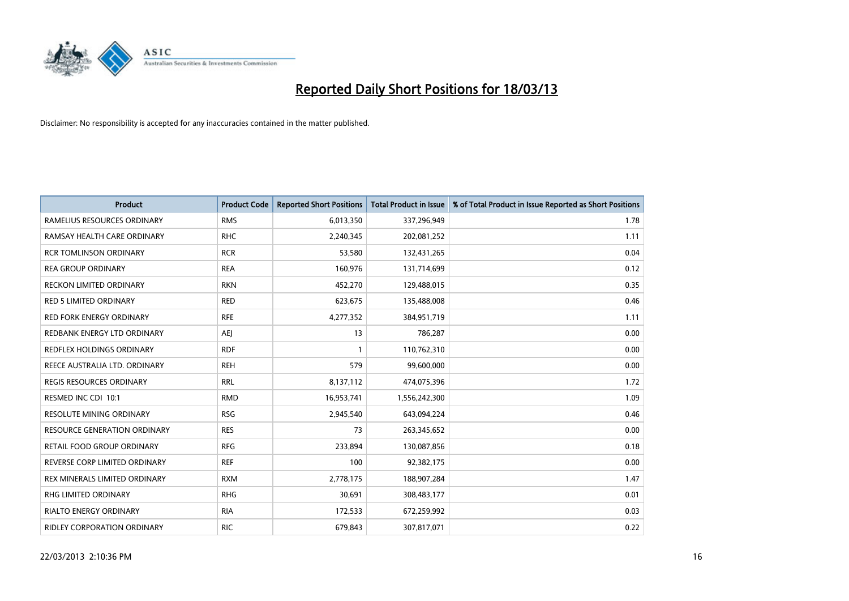

| <b>Product</b>                      | <b>Product Code</b> | <b>Reported Short Positions</b> | <b>Total Product in Issue</b> | % of Total Product in Issue Reported as Short Positions |
|-------------------------------------|---------------------|---------------------------------|-------------------------------|---------------------------------------------------------|
| RAMELIUS RESOURCES ORDINARY         | <b>RMS</b>          | 6,013,350                       | 337,296,949                   | 1.78                                                    |
| RAMSAY HEALTH CARE ORDINARY         | <b>RHC</b>          | 2,240,345                       | 202,081,252                   | 1.11                                                    |
| <b>RCR TOMLINSON ORDINARY</b>       | <b>RCR</b>          | 53,580                          | 132,431,265                   | 0.04                                                    |
| <b>REA GROUP ORDINARY</b>           | <b>REA</b>          | 160,976                         | 131,714,699                   | 0.12                                                    |
| <b>RECKON LIMITED ORDINARY</b>      | <b>RKN</b>          | 452,270                         | 129,488,015                   | 0.35                                                    |
| <b>RED 5 LIMITED ORDINARY</b>       | <b>RED</b>          | 623,675                         | 135,488,008                   | 0.46                                                    |
| <b>RED FORK ENERGY ORDINARY</b>     | <b>RFE</b>          | 4,277,352                       | 384,951,719                   | 1.11                                                    |
| REDBANK ENERGY LTD ORDINARY         | AEI                 | 13                              | 786,287                       | 0.00                                                    |
| REDFLEX HOLDINGS ORDINARY           | <b>RDF</b>          |                                 | 110,762,310                   | 0.00                                                    |
| REECE AUSTRALIA LTD. ORDINARY       | <b>REH</b>          | 579                             | 99,600,000                    | 0.00                                                    |
| REGIS RESOURCES ORDINARY            | <b>RRL</b>          | 8,137,112                       | 474,075,396                   | 1.72                                                    |
| RESMED INC CDI 10:1                 | <b>RMD</b>          | 16,953,741                      | 1,556,242,300                 | 1.09                                                    |
| <b>RESOLUTE MINING ORDINARY</b>     | <b>RSG</b>          | 2,945,540                       | 643,094,224                   | 0.46                                                    |
| <b>RESOURCE GENERATION ORDINARY</b> | <b>RES</b>          | 73                              | 263,345,652                   | 0.00                                                    |
| RETAIL FOOD GROUP ORDINARY          | <b>RFG</b>          | 233,894                         | 130,087,856                   | 0.18                                                    |
| REVERSE CORP LIMITED ORDINARY       | <b>REF</b>          | 100                             | 92,382,175                    | 0.00                                                    |
| REX MINERALS LIMITED ORDINARY       | <b>RXM</b>          | 2,778,175                       | 188,907,284                   | 1.47                                                    |
| RHG LIMITED ORDINARY                | <b>RHG</b>          | 30,691                          | 308,483,177                   | 0.01                                                    |
| <b>RIALTO ENERGY ORDINARY</b>       | <b>RIA</b>          | 172,533                         | 672,259,992                   | 0.03                                                    |
| RIDLEY CORPORATION ORDINARY         | <b>RIC</b>          | 679,843                         | 307,817,071                   | 0.22                                                    |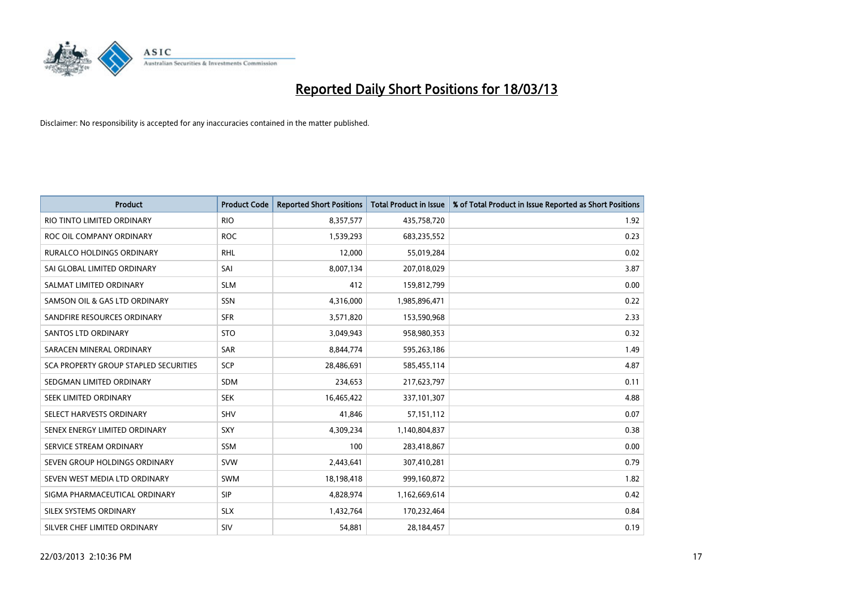

| <b>Product</b>                        | <b>Product Code</b> | <b>Reported Short Positions</b> | <b>Total Product in Issue</b> | % of Total Product in Issue Reported as Short Positions |
|---------------------------------------|---------------------|---------------------------------|-------------------------------|---------------------------------------------------------|
| RIO TINTO LIMITED ORDINARY            | <b>RIO</b>          | 8,357,577                       | 435,758,720                   | 1.92                                                    |
| ROC OIL COMPANY ORDINARY              | <b>ROC</b>          | 1,539,293                       | 683,235,552                   | 0.23                                                    |
| <b>RURALCO HOLDINGS ORDINARY</b>      | <b>RHL</b>          | 12,000                          | 55,019,284                    | 0.02                                                    |
| SAI GLOBAL LIMITED ORDINARY           | SAI                 | 8,007,134                       | 207,018,029                   | 3.87                                                    |
| SALMAT LIMITED ORDINARY               | <b>SLM</b>          | 412                             | 159,812,799                   | 0.00                                                    |
| SAMSON OIL & GAS LTD ORDINARY         | <b>SSN</b>          | 4,316,000                       | 1,985,896,471                 | 0.22                                                    |
| SANDFIRE RESOURCES ORDINARY           | <b>SFR</b>          | 3,571,820                       | 153,590,968                   | 2.33                                                    |
| <b>SANTOS LTD ORDINARY</b>            | <b>STO</b>          | 3,049,943                       | 958,980,353                   | 0.32                                                    |
| SARACEN MINERAL ORDINARY              | <b>SAR</b>          | 8,844,774                       | 595,263,186                   | 1.49                                                    |
| SCA PROPERTY GROUP STAPLED SECURITIES | SCP                 | 28,486,691                      | 585,455,114                   | 4.87                                                    |
| SEDGMAN LIMITED ORDINARY              | <b>SDM</b>          | 234,653                         | 217,623,797                   | 0.11                                                    |
| <b>SEEK LIMITED ORDINARY</b>          | <b>SEK</b>          | 16,465,422                      | 337,101,307                   | 4.88                                                    |
| SELECT HARVESTS ORDINARY              | <b>SHV</b>          | 41,846                          | 57,151,112                    | 0.07                                                    |
| SENEX ENERGY LIMITED ORDINARY         | <b>SXY</b>          | 4,309,234                       | 1,140,804,837                 | 0.38                                                    |
| SERVICE STREAM ORDINARY               | <b>SSM</b>          | 100                             | 283,418,867                   | 0.00                                                    |
| SEVEN GROUP HOLDINGS ORDINARY         | <b>SVW</b>          | 2,443,641                       | 307,410,281                   | 0.79                                                    |
| SEVEN WEST MEDIA LTD ORDINARY         | <b>SWM</b>          | 18,198,418                      | 999,160,872                   | 1.82                                                    |
| SIGMA PHARMACEUTICAL ORDINARY         | SIP                 | 4,828,974                       | 1,162,669,614                 | 0.42                                                    |
| SILEX SYSTEMS ORDINARY                | <b>SLX</b>          | 1,432,764                       | 170,232,464                   | 0.84                                                    |
| SILVER CHEF LIMITED ORDINARY          | SIV                 | 54,881                          | 28,184,457                    | 0.19                                                    |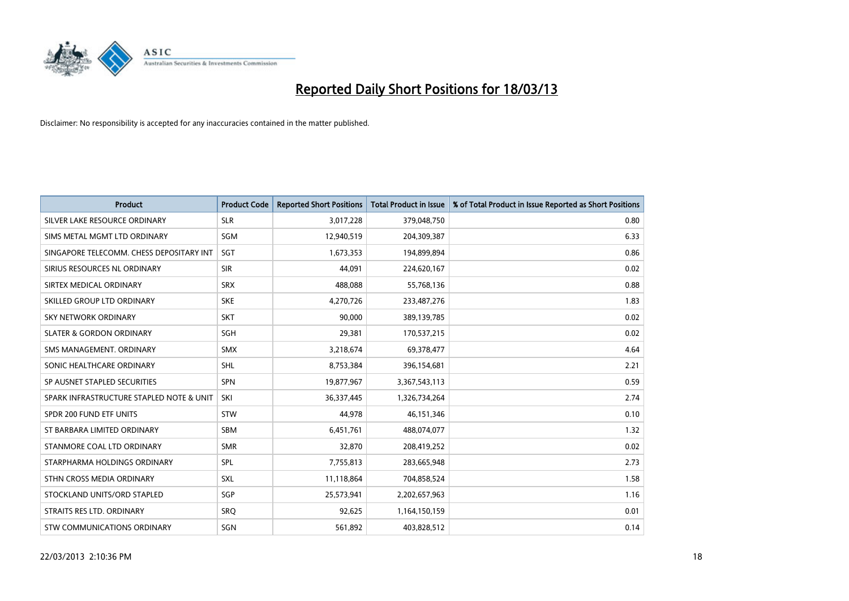

| <b>Product</b>                           | <b>Product Code</b> | <b>Reported Short Positions</b> | <b>Total Product in Issue</b> | % of Total Product in Issue Reported as Short Positions |
|------------------------------------------|---------------------|---------------------------------|-------------------------------|---------------------------------------------------------|
| SILVER LAKE RESOURCE ORDINARY            | <b>SLR</b>          | 3,017,228                       | 379,048,750                   | 0.80                                                    |
| SIMS METAL MGMT LTD ORDINARY             | <b>SGM</b>          | 12,940,519                      | 204,309,387                   | 6.33                                                    |
| SINGAPORE TELECOMM. CHESS DEPOSITARY INT | <b>SGT</b>          | 1,673,353                       | 194,899,894                   | 0.86                                                    |
| SIRIUS RESOURCES NL ORDINARY             | <b>SIR</b>          | 44,091                          | 224,620,167                   | 0.02                                                    |
| SIRTEX MEDICAL ORDINARY                  | <b>SRX</b>          | 488,088                         | 55,768,136                    | 0.88                                                    |
| SKILLED GROUP LTD ORDINARY               | <b>SKE</b>          | 4,270,726                       | 233,487,276                   | 1.83                                                    |
| SKY NETWORK ORDINARY                     | <b>SKT</b>          | 90,000                          | 389,139,785                   | 0.02                                                    |
| <b>SLATER &amp; GORDON ORDINARY</b>      | <b>SGH</b>          | 29,381                          | 170,537,215                   | 0.02                                                    |
| SMS MANAGEMENT, ORDINARY                 | <b>SMX</b>          | 3,218,674                       | 69,378,477                    | 4.64                                                    |
| SONIC HEALTHCARE ORDINARY                | <b>SHL</b>          | 8,753,384                       | 396,154,681                   | 2.21                                                    |
| SP AUSNET STAPLED SECURITIES             | <b>SPN</b>          | 19,877,967                      | 3,367,543,113                 | 0.59                                                    |
| SPARK INFRASTRUCTURE STAPLED NOTE & UNIT | SKI                 | 36,337,445                      | 1,326,734,264                 | 2.74                                                    |
| SPDR 200 FUND ETF UNITS                  | <b>STW</b>          | 44,978                          | 46,151,346                    | 0.10                                                    |
| ST BARBARA LIMITED ORDINARY              | <b>SBM</b>          | 6,451,761                       | 488,074,077                   | 1.32                                                    |
| STANMORE COAL LTD ORDINARY               | <b>SMR</b>          | 32,870                          | 208,419,252                   | 0.02                                                    |
| STARPHARMA HOLDINGS ORDINARY             | SPL                 | 7,755,813                       | 283,665,948                   | 2.73                                                    |
| STHN CROSS MEDIA ORDINARY                | <b>SXL</b>          | 11,118,864                      | 704,858,524                   | 1.58                                                    |
| STOCKLAND UNITS/ORD STAPLED              | SGP                 | 25,573,941                      | 2,202,657,963                 | 1.16                                                    |
| STRAITS RES LTD. ORDINARY                | SRO                 | 92,625                          | 1,164,150,159                 | 0.01                                                    |
| STW COMMUNICATIONS ORDINARY              | SGN                 | 561,892                         | 403,828,512                   | 0.14                                                    |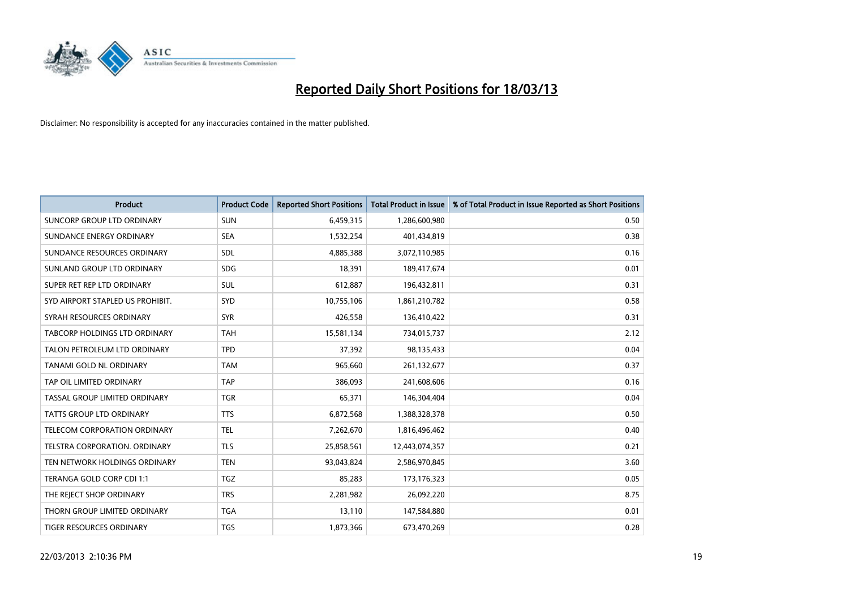

| <b>Product</b>                       | <b>Product Code</b> | <b>Reported Short Positions</b> | <b>Total Product in Issue</b> | % of Total Product in Issue Reported as Short Positions |
|--------------------------------------|---------------------|---------------------------------|-------------------------------|---------------------------------------------------------|
| SUNCORP GROUP LTD ORDINARY           | <b>SUN</b>          | 6,459,315                       | 1,286,600,980                 | 0.50                                                    |
| SUNDANCE ENERGY ORDINARY             | <b>SEA</b>          | 1,532,254                       | 401,434,819                   | 0.38                                                    |
| SUNDANCE RESOURCES ORDINARY          | <b>SDL</b>          | 4,885,388                       | 3,072,110,985                 | 0.16                                                    |
| SUNLAND GROUP LTD ORDINARY           | <b>SDG</b>          | 18,391                          | 189,417,674                   | 0.01                                                    |
| SUPER RET REP LTD ORDINARY           | <b>SUL</b>          | 612,887                         | 196,432,811                   | 0.31                                                    |
| SYD AIRPORT STAPLED US PROHIBIT.     | SYD                 | 10,755,106                      | 1,861,210,782                 | 0.58                                                    |
| SYRAH RESOURCES ORDINARY             | <b>SYR</b>          | 426,558                         | 136,410,422                   | 0.31                                                    |
| TABCORP HOLDINGS LTD ORDINARY        | <b>TAH</b>          | 15,581,134                      | 734,015,737                   | 2.12                                                    |
| TALON PETROLEUM LTD ORDINARY         | <b>TPD</b>          | 37,392                          | 98,135,433                    | 0.04                                                    |
| TANAMI GOLD NL ORDINARY              | <b>TAM</b>          | 965,660                         | 261,132,677                   | 0.37                                                    |
| TAP OIL LIMITED ORDINARY             | <b>TAP</b>          | 386,093                         | 241,608,606                   | 0.16                                                    |
| TASSAL GROUP LIMITED ORDINARY        | <b>TGR</b>          | 65,371                          | 146,304,404                   | 0.04                                                    |
| TATTS GROUP LTD ORDINARY             | <b>TTS</b>          | 6,872,568                       | 1,388,328,378                 | 0.50                                                    |
| TELECOM CORPORATION ORDINARY         | <b>TEL</b>          | 7,262,670                       | 1,816,496,462                 | 0.40                                                    |
| <b>TELSTRA CORPORATION, ORDINARY</b> | <b>TLS</b>          | 25,858,561                      | 12,443,074,357                | 0.21                                                    |
| TEN NETWORK HOLDINGS ORDINARY        | <b>TEN</b>          | 93,043,824                      | 2,586,970,845                 | 3.60                                                    |
| TERANGA GOLD CORP CDI 1:1            | <b>TGZ</b>          | 85,283                          | 173, 176, 323                 | 0.05                                                    |
| THE REJECT SHOP ORDINARY             | <b>TRS</b>          | 2,281,982                       | 26,092,220                    | 8.75                                                    |
| THORN GROUP LIMITED ORDINARY         | <b>TGA</b>          | 13,110                          | 147,584,880                   | 0.01                                                    |
| TIGER RESOURCES ORDINARY             | <b>TGS</b>          | 1,873,366                       | 673,470,269                   | 0.28                                                    |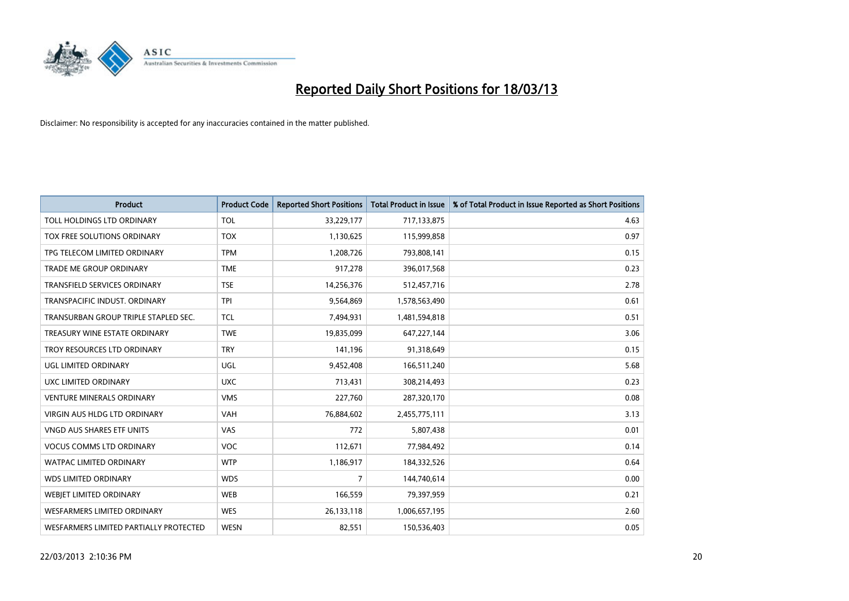

| <b>Product</b>                         | <b>Product Code</b> | <b>Reported Short Positions</b> | <b>Total Product in Issue</b> | % of Total Product in Issue Reported as Short Positions |
|----------------------------------------|---------------------|---------------------------------|-------------------------------|---------------------------------------------------------|
| TOLL HOLDINGS LTD ORDINARY             | <b>TOL</b>          | 33,229,177                      | 717,133,875                   | 4.63                                                    |
| TOX FREE SOLUTIONS ORDINARY            | <b>TOX</b>          | 1,130,625                       | 115,999,858                   | 0.97                                                    |
| TPG TELECOM LIMITED ORDINARY           | <b>TPM</b>          | 1,208,726                       | 793,808,141                   | 0.15                                                    |
| TRADE ME GROUP ORDINARY                | <b>TME</b>          | 917,278                         | 396,017,568                   | 0.23                                                    |
| <b>TRANSFIELD SERVICES ORDINARY</b>    | <b>TSE</b>          | 14,256,376                      | 512,457,716                   | 2.78                                                    |
| TRANSPACIFIC INDUST, ORDINARY          | <b>TPI</b>          | 9,564,869                       | 1,578,563,490                 | 0.61                                                    |
| TRANSURBAN GROUP TRIPLE STAPLED SEC.   | <b>TCL</b>          | 7,494,931                       | 1,481,594,818                 | 0.51                                                    |
| TREASURY WINE ESTATE ORDINARY          | <b>TWE</b>          | 19,835,099                      | 647,227,144                   | 3.06                                                    |
| TROY RESOURCES LTD ORDINARY            | <b>TRY</b>          | 141,196                         | 91,318,649                    | 0.15                                                    |
| <b>UGL LIMITED ORDINARY</b>            | <b>UGL</b>          | 9,452,408                       | 166,511,240                   | 5.68                                                    |
| UXC LIMITED ORDINARY                   | <b>UXC</b>          | 713,431                         | 308,214,493                   | 0.23                                                    |
| <b>VENTURE MINERALS ORDINARY</b>       | <b>VMS</b>          | 227,760                         | 287,320,170                   | 0.08                                                    |
| VIRGIN AUS HLDG LTD ORDINARY           | VAH                 | 76,884,602                      | 2,455,775,111                 | 3.13                                                    |
| VNGD AUS SHARES ETF UNITS              | VAS                 | 772                             | 5,807,438                     | 0.01                                                    |
| <b>VOCUS COMMS LTD ORDINARY</b>        | <b>VOC</b>          | 112,671                         | 77,984,492                    | 0.14                                                    |
| WATPAC LIMITED ORDINARY                | <b>WTP</b>          | 1,186,917                       | 184,332,526                   | 0.64                                                    |
| <b>WDS LIMITED ORDINARY</b>            | <b>WDS</b>          | $\overline{7}$                  | 144,740,614                   | 0.00                                                    |
| WEBJET LIMITED ORDINARY                | <b>WEB</b>          | 166,559                         | 79,397,959                    | 0.21                                                    |
| <b>WESFARMERS LIMITED ORDINARY</b>     | <b>WES</b>          | 26,133,118                      | 1,006,657,195                 | 2.60                                                    |
| WESFARMERS LIMITED PARTIALLY PROTECTED | <b>WESN</b>         | 82,551                          | 150,536,403                   | 0.05                                                    |